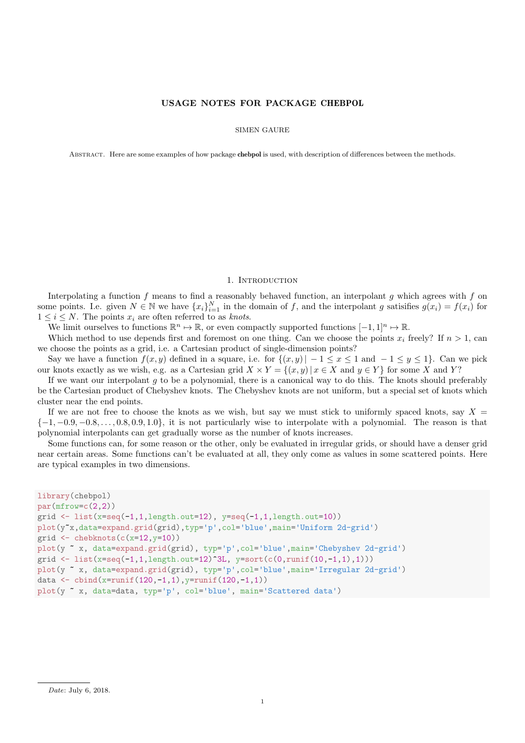## USAGE NOTES FOR PACKAGE CHEBPOL

SIMEN GAURE

Abstract. Here are some examples of how package chebpol is used, with description of differences between the methods.

## 1. INTRODUCTION

Interpolating a function f means to find a reasonably behaved function, an interpolant g which agrees with f on some points. I.e. given  $N \in \mathbb{N}$  we have  $\{x_i\}_{i=1}^N$  in the domain of f, and the interpolant g satisfies  $g(x_i) = f(x_i)$  for  $1 \leq i \leq N$ . The points  $x_i$  are often referred to as knots.

We limit ourselves to functions  $\mathbb{R}^n \mapsto \mathbb{R}$ , or even compactly supported functions  $[-1, 1]^n \mapsto \mathbb{R}$ .

Which method to use depends first and foremost on one thing. Can we choose the points  $x_i$  freely? If  $n > 1$ , can we choose the points as a grid, i.e. a Cartesian product of single-dimension points?

Say we have a function  $f(x, y)$  defined in a square, i.e. for  $\{(x, y)| -1 \le x \le 1 \text{ and } -1 \le y \le 1\}$ . Can we pick our knots exactly as we wish, e.g. as a Cartesian grid  $X \times Y = \{(x, y) | x \in X \text{ and } y \in Y\}$  for some X and Y?

If we want our interpolant  $g$  to be a polynomial, there is a canonical way to do this. The knots should preferably be the Cartesian product of Chebyshev knots. The Chebyshev knots are not uniform, but a special set of knots which cluster near the end points.

If we are not free to choose the knots as we wish, but say we must stick to uniformly spaced knots, say  $X =$  $\{-1, -0.9, -0.8, \ldots, 0.8, 0.9, 1.0\}$ , it is not particularly wise to interpolate with a polynomial. The reason is that polynomial interpolants can get gradually worse as the number of knots increases.

Some functions can, for some reason or the other, only be evaluated in irregular grids, or should have a denser grid near certain areas. Some functions can't be evaluated at all, they only come as values in some scattered points. Here are typical examples in two dimensions.

```
library(chebpol)
par(mfrow=c(2,2))grid \leftarrow list(x=seq(-1,1,length.out=12), y=seq(-1,1,length.out=10))
plot(y~x,data=expand.grid(grid),typ='p',col='blue',main='Uniform 2d-grid')
grid \leftarrow chebknots(c(x=12, y=10))
plot(y ~ x, data=expand.grid(grid), typ='p',col='blue',main='Chebyshev 2d-grid')
grid <- list(x=seq(-1,1,length.out=12)^3L, y=sort(c(0,runif(10,-1,1),1)))
plot(y ~ x, data=expand.grid(grid), typ='p',col='blue',main='Irregular 2d-grid')
data <- cbind(x=runif(120,-1,1),y=runif(120,-1,1))
plot(y ~ x, data=data, typ='p', col='blue', main='Scattered data')
```
Date: July 6, 2018.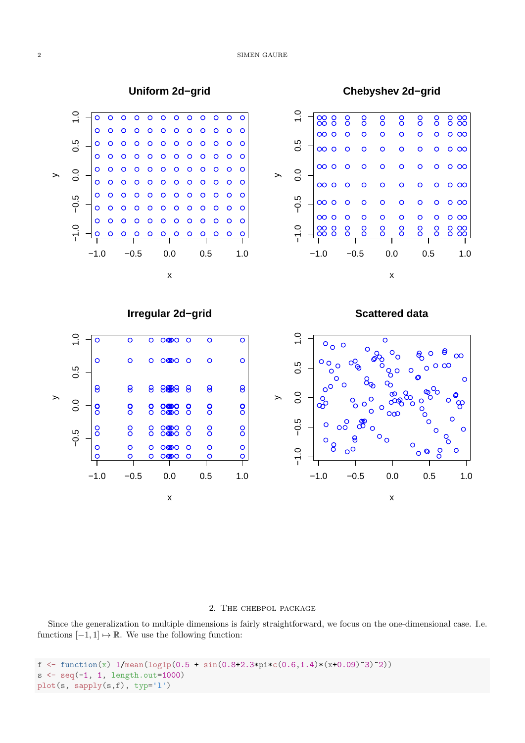

### 2. The chebpol package

Since the generalization to multiple dimensions is fairly straightforward, we focus on the one-dimensional case. I.e. functions  $[-1, 1] \mapsto \mathbb{R}$ . We use the following function:

```
f \leq function(x) 1/mean(log1p(0.5 + sin(0.8+2.3*pi*c(0.6,1.4)*(x+0.09)^3)^2))
s < -seq(-1, 1, length.out=1000)plot(s, sapply(s,f), typ='l')
```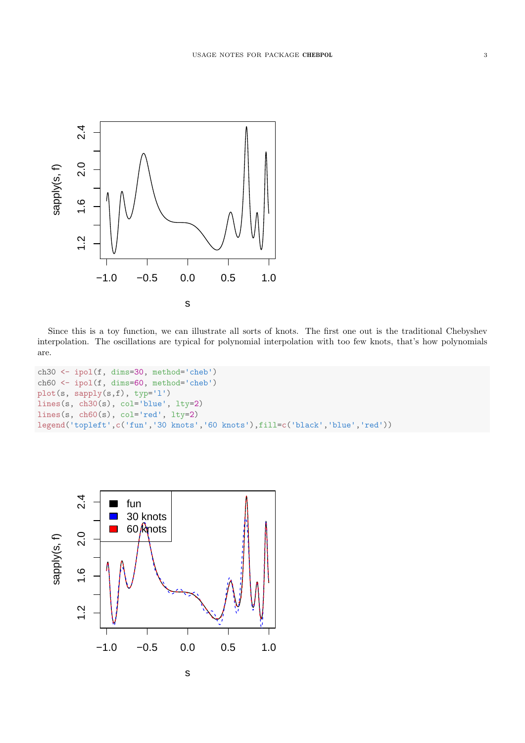

Since this is a toy function, we can illustrate all sorts of knots. The first one out is the traditional Chebyshev interpolation. The oscillations are typical for polynomial interpolation with too few knots, that's how polynomials are.

```
ch30 <- ipol(f, dims=30, method='cheb')
ch60 <- ipol(f, dims=60, method='cheb')
plot(s, sapply(s,f), typ='l')
lines(s, ch30(s), col='blue', lty=2)
lines(s, ch60(s), col='red', lty=2)legend('topleft',c('fun','30 knots','60 knots'),fill=c('black','blue','red'))
```
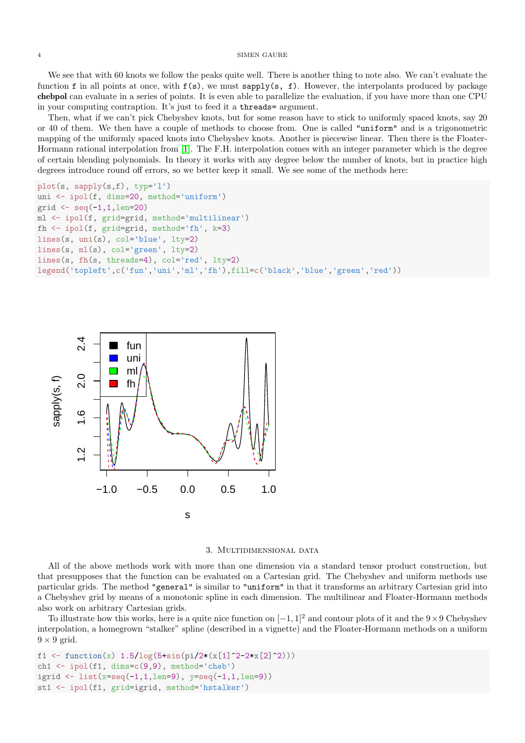We see that with 60 knots we follow the peaks quite well. There is another thing to note also. We can't evaluate the function f in all points at once, with  $f(s)$ , we must sapply(s, f). However, the interpolants produced by package chebpol can evaluate in a series of points. It is even able to parallelize the evaluation, if you have more than one CPU in your computing contraption. It's just to feed it a threads= argument.

Then, what if we can't pick Chebyshev knots, but for some reason have to stick to uniformly spaced knots, say 20 or 40 of them. We then have a couple of methods to choose from. One is called "uniform" and is a trigonometric mapping of the uniformly spaced knots into Chebyshev knots. Another is piecewise linear. Then there is the Floater-Hormann rational interpolation from [\[1\]](#page-8-0). The F.H. interpolation comes with an integer parameter which is the degree of certain blending polynomials. In theory it works with any degree below the number of knots, but in practice high degrees introduce round off errors, so we better keep it small. We see some of the methods here:

```
plot(s, sapply(s,f), typ='l')
uni <- ipol(f, dims=20, method='uniform')
grid \leftarrow seq(-1, 1, len=20)ml <- ipol(f, grid=grid, method='multilinear')
fh <- ipol(f, grid=grid, method='fh', k=3)
lines(s, uni(s), col='blue', lty=2)
lines(s, ml(s), col='green', lty=2)
lines(s, fh(s, threads=4), col='red', lty=2)
legend('topleft',c('fun','uni','ml','fh'),fill=c('black','blue','green','red'))
```


### 3. Multidimensional data

All of the above methods work with more than one dimension via a standard tensor product construction, but that presupposes that the function can be evaluated on a Cartesian grid. The Chebyshev and uniform methods use particular grids. The method "general" is similar to "uniform" in that it transforms an arbitrary Cartesian grid into a Chebyshev grid by means of a monotonic spline in each dimension. The multilinear and Floater-Hormann methods also work on arbitrary Cartesian grids.

To illustrate how this works, here is a quite nice function on  $[-1, 1]^2$  and contour plots of it and the 9×9 Chebyshev interpolation, a homegrown "stalker" spline (described in a vignette) and the Floater-Hormann methods on a uniform  $9 \times 9$  grid.

```
f1 <- function(x) 1.5/\log(5+sin(pi/2*(x[1]^2-2*x[2]^2)))ch1 <- ipol(f1, dims=c(9,9), method='cheb')
igrid <- list(x=seq(-1,1,len=9), y=seq(-1,1,len=9))
st1 <- ipol(f1, grid=igrid, method='hstalker')
```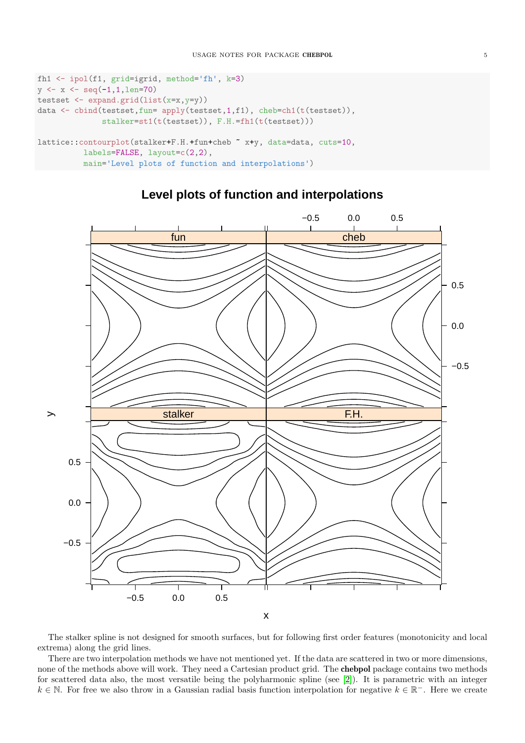```
fh1 <- ipol(f1, grid=igrid, method='fh', k=3)
y \leftarrow x \leftarrow \text{seq}(-1, 1, \text{len=70})testset <- expand.grid(list(x=x,y=y))
data <- cbind(testset,fun= apply(testset,1,f1), cheb=ch1(t(testset)),
               stalker=st1(t(testset)), F.H.=fh1(t(testset)))
lattice::contourplot(stalker+F.H.+fun+cheb ~ x+y, data=data, cuts=10,
           labels=FALSE, layout=c(2,2),
           main='Level plots of function and interpolations')
```


# **Level plots of function and interpolations**

The stalker spline is not designed for smooth surfaces, but for following first order features (monotonicity and local extrema) along the grid lines.

There are two interpolation methods we have not mentioned yet. If the data are scattered in two or more dimensions, none of the methods above will work. They need a Cartesian product grid. The chebpol package contains two methods for scattered data also, the most versatile being the polyharmonic spline (see [\[2\]](#page-8-1)). It is parametric with an integer  $k \in \mathbb{N}$ . For free we also throw in a Gaussian radial basis function interpolation for negative  $k \in \mathbb{R}^-$ . Here we create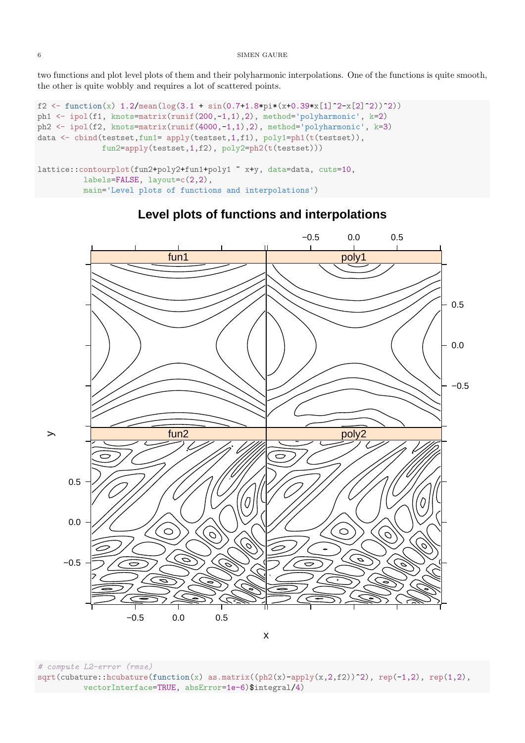two functions and plot level plots of them and their polyharmonic interpolations. One of the functions is quite smooth, the other is quite wobbly and requires a lot of scattered points.

```
f2 <- function(x) 1.2/\text{mean}(\log(3.1 + \sin(0.7 + 1.8 * \text{pi}*(x+0.39 * x[1]^2 - x[2]^2)))^{2})ph1 <- ipol(f1, knots=matrix(runif(200,-1,1),2), method='polyharmonic', k=2)
ph2 <- ipol(f2, knots=matrix(runif(4000,-1,1),2), method='polyharmonic', k=3)
data <- cbind(testset,fun1= apply(testset,1,f1), poly1=ph1(t(testset)),
              fun2=apply(testset,1,f2), poly2=ph2(t(testset)))
lattice::contourplot(fun2+poly2+fun1+poly1 ~ x+y, data=data, cuts=10,
          labels=FALSE, layout=c(2,2),
          main='Level plots of functions and interpolations')
```


# **Level plots of functions and interpolations**

x

# compute L2-error (rmse)  $sqrt(cubature:houbature(function(x) as.matrix((ph2(x)-apply(x,2,f2))^2), rep(-1,2), rep(1,2),$ vectorInterface=TRUE, absError=1e-6)\$integral/4)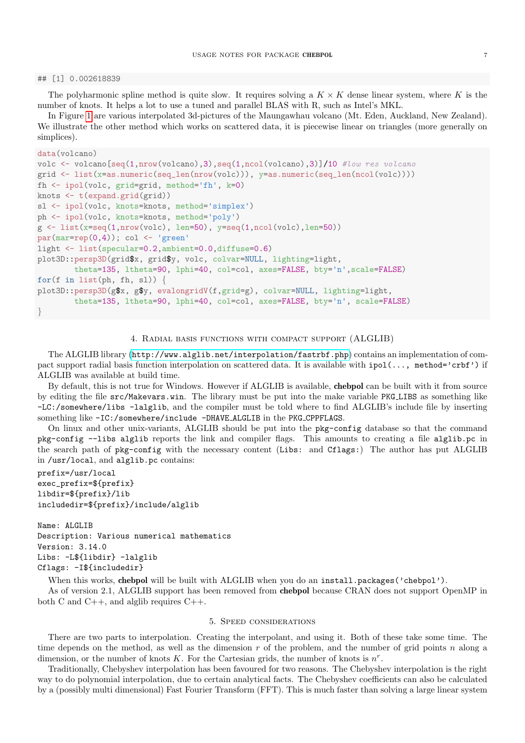#### ## [1] 0.002618839

The polyharmonic spline method is quite slow. It requires solving a  $K \times K$  dense linear system, where K is the number of knots. It helps a lot to use a tuned and parallel BLAS with R, such as Intel's MKL.

In Figure [1](#page-7-0) are various interpolated 3d-pictures of the Maungawhau volcano (Mt. Eden, Auckland, New Zealand). We illustrate the other method which works on scattered data, it is piecewise linear on triangles (more generally on simplices).

```
data(volcano)
```

```
volc <- volcano[seq(1,nrow(volcano),3),seq(1,ncol(volcano),3)]/10 #low res volcano
grid <- list(x=as.numeric(seq_len(nrow(volc))), y=as.numeric(seq_len(ncol(volc))))
fh <- ipol(volc, grid=grid, method='fh', k=0)
knots \leftarrow t(expand.grid(grid))
sl <- ipol(volc, knots=knots, method='simplex')
ph <- ipol(volc, knots=knots, method='poly')
g \leftarrow \text{list}(\text{x}=seq(1,\text{now}(\text{volc}), \text{len}=50), \text{y}=seq(1,\text{ncol}(\text{volc}), \text{len}=50))par(max=rep(0,4)); col \leftarrow 'green'light <- list(specular=0.2,ambient=0.0,diffuse=0.6)
plot3D::persp3D(grid$x, grid$y, volc, colvar=NULL, lighting=light,
         theta=135, ltheta=90, lphi=40, col=col, axes=FALSE, bty='n',scale=FALSE)
for(f in list(ph, fh, sl)) {
plot3D::persp3D(g$x, g$y, evalongridV(f,grid=g), colvar=NULL, lighting=light,
         theta=135, ltheta=90, lphi=40, col=col, axes=FALSE, bty='n', scale=FALSE)
```

```
}
```
### 4. Radial basis functions with compact support (ALGLIB)

The ALGLIB library (<http://www.alglib.net/interpolation/fastrbf.php>) contains an implementation of compact support radial basis function interpolation on scattered data. It is available with  $ipol(..., method='crbf')$  if ALGLIB was available at build time.

By default, this is not true for Windows. However if ALGLIB is available, chebpol can be built with it from source by editing the file src/Makevars.win. The library must be put into the make variable PKG LIBS as something like -LC:/somewhere/libs -lalglib, and the compiler must be told where to find ALGLIB's include file by inserting something like -IC:/somewhere/include -DHAVE ALGLIB in the PKG CPPFLAGS.

On linux and other unix-variants, ALGLIB should be put into the pkg-config database so that the command pkg-config --libs alglib reports the link and compiler flags. This amounts to creating a file alglib.pc in the search path of pkg-config with the necessary content (Libs: and Cflags:) The author has put ALGLIB in /usr/local, and alglib.pc contains:

```
prefix=/usr/local
exec_prefix=${prefix}
libdir=${prefix}/lib
includedir=${prefix}/include/alglib
```
Name: ALGLIB Description: Various numerical mathematics Version: 3.14.0 Libs: -L\${libdir} -lalglib Cflags: -I\${includedir}

When this works, chebpol will be built with ALGLIB when you do an install.packages('chebpol').

As of version 2.1, ALGLIB support has been removed from chebpol because CRAN does not support OpenMP in both C and C++, and alglib requires C++.

# 5. Speed considerations

There are two parts to interpolation. Creating the interpolant, and using it. Both of these take some time. The time depends on the method, as well as the dimension r of the problem, and the number of grid points n along a dimension, or the number of knots  $K$ . For the Cartesian grids, the number of knots is  $n^r$ .

Traditionally, Chebyshev interpolation has been favoured for two reasons. The Chebyshev interpolation is the right way to do polynomial interpolation, due to certain analytical facts. The Chebyshev coefficients can also be calculated by a (possibly multi dimensional) Fast Fourier Transform (FFT). This is much faster than solving a large linear system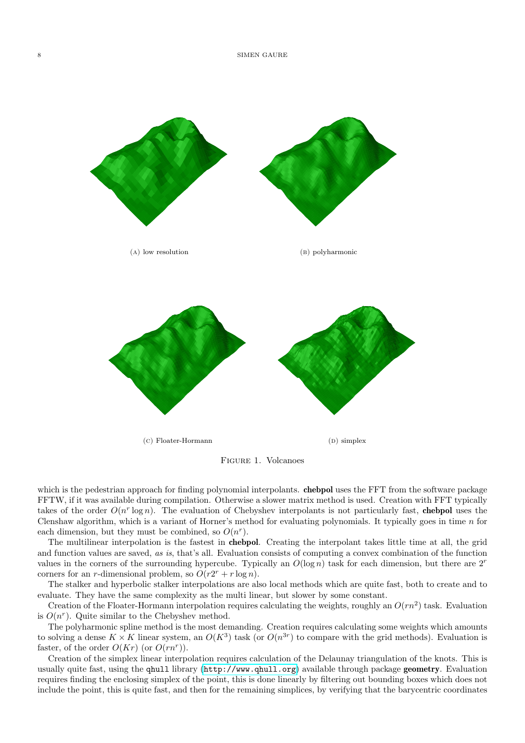<span id="page-7-0"></span>

Figure 1. Volcanoes

which is the pedestrian approach for finding polynomial interpolants. **chebpol** uses the FFT from the software package FFTW, if it was available during compilation. Otherwise a slower matrix method is used. Creation with FFT typically takes of the order  $O(n^r \log n)$ . The evaluation of Chebyshev interpolants is not particularly fast, chebpol uses the Clenshaw algorithm, which is a variant of Horner's method for evaluating polynomials. It typically goes in time n for each dimension, but they must be combined, so  $O(n^r)$ .

The multilinear interpolation is the fastest in chebpol. Creating the interpolant takes little time at all, the grid and function values are saved, as is, that's all. Evaluation consists of computing a convex combination of the function values in the corners of the surrounding hypercube. Typically an  $O(\log n)$  task for each dimension, but there are  $2^r$ corners for an *r*-dimensional problem, so  $O(r2^r + r \log n)$ .

The stalker and hyperbolic stalker interpolations are also local methods which are quite fast, both to create and to evaluate. They have the same complexity as the multi linear, but slower by some constant.

Creation of the Floater-Hormann interpolation requires calculating the weights, roughly an  $O(rn^2)$  task. Evaluation is  $O(n^r)$ . Quite similar to the Chebyshev method.

The polyharmonic spline method is the most demanding. Creation requires calculating some weights which amounts to solving a dense  $K \times K$  linear system, an  $O(K^3)$  task (or  $O(n^{3r})$  to compare with the grid methods). Evaluation is faster, of the order  $O(Kr)$  (or  $O(rn^r)$ ).

Creation of the simplex linear interpolation requires calculation of the Delaunay triangulation of the knots. This is usually quite fast, using the qhull library (<http://www.qhull.org>) available through package geometry. Evaluation requires finding the enclosing simplex of the point, this is done linearly by filtering out bounding boxes which does not include the point, this is quite fast, and then for the remaining simplices, by verifying that the barycentric coordinates